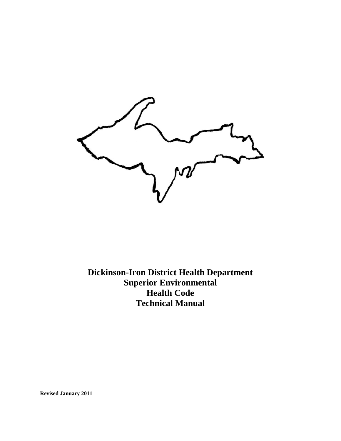

**Revised January 2011**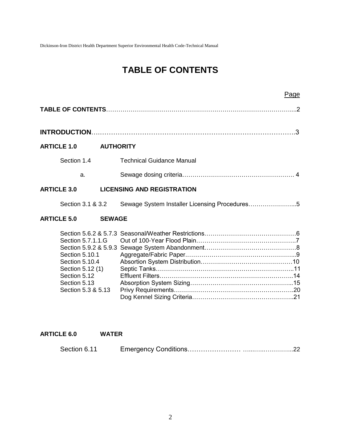## **TABLE OF CONTENTS**

|                                                                                                                                 | Page                                          |               |
|---------------------------------------------------------------------------------------------------------------------------------|-----------------------------------------------|---------------|
|                                                                                                                                 |                                               |               |
|                                                                                                                                 |                                               | $\mathcal{B}$ |
| <b>ARTICLE 1.0</b>                                                                                                              | <b>AUTHORITY</b>                              |               |
| Section 1.4                                                                                                                     | <b>Technical Guidance Manual</b>              |               |
| a.                                                                                                                              |                                               |               |
| <b>ARTICLE 3.0</b>                                                                                                              | <b>LICENSING AND REGISTRATION</b>             |               |
| Section 3.1 & 3.2                                                                                                               | Sewage System Installer Licensing Procedures5 |               |
| <b>ARTICLE 5.0</b>                                                                                                              | <b>SEWAGE</b>                                 |               |
| Section 5.7.1.1.G<br>Section 5.10.1<br>Section 5.10.4<br>Section 5.12 (1)<br>Section 5.12<br>Section 5.13<br>Section 5.3 & 5.13 |                                               |               |

#### **ARTICLE 6.0 WATER**

| Section 6.11 |  |  |
|--------------|--|--|
|--------------|--|--|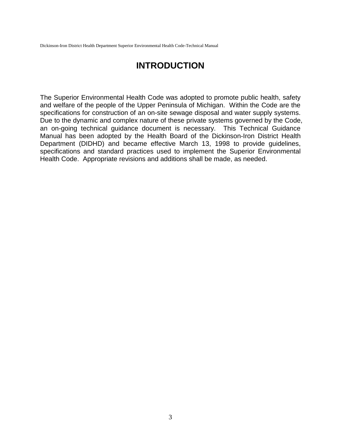## **INTRODUCTION**

The Superior Environmental Health Code was adopted to promote public health, safety and welfare of the people of the Upper Peninsula of Michigan. Within the Code are the specifications for construction of an on-site sewage disposal and water supply systems. Due to the dynamic and complex nature of these private systems governed by the Code, an on-going technical guidance document is necessary. This Technical Guidance Manual has been adopted by the Health Board of the Dickinson-Iron District Health Department (DIDHD) and became effective March 13, 1998 to provide guidelines, specifications and standard practices used to implement the Superior Environmental Health Code. Appropriate revisions and additions shall be made, as needed.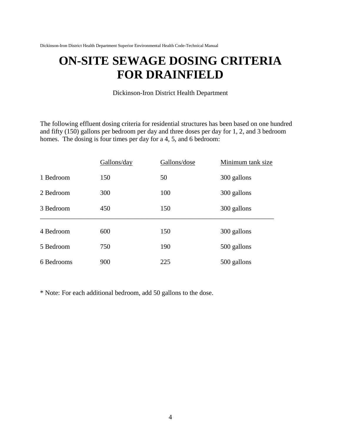# **ON-SITE SEWAGE DOSING CRITERIA FOR DRAINFIELD**

Dickinson-Iron District Health Department

The following effluent dosing criteria for residential structures has been based on one hundred and fifty (150) gallons per bedroom per day and three doses per day for 1, 2, and 3 bedroom homes. The dosing is four times per day for a 4, 5, and 6 bedroom:

|            | Gallons/day | Gallons/dose | Minimum tank size |
|------------|-------------|--------------|-------------------|
| 1 Bedroom  | 150         | 50           | 300 gallons       |
| 2 Bedroom  | 300         | 100          | 300 gallons       |
| 3 Bedroom  | 450         | 150          | 300 gallons       |
| 4 Bedroom  | 600         | 150          | 300 gallons       |
| 5 Bedroom  | 750         | 190          | 500 gallons       |
| 6 Bedrooms | 900         | 225          | 500 gallons       |

\* Note: For each additional bedroom, add 50 gallons to the dose.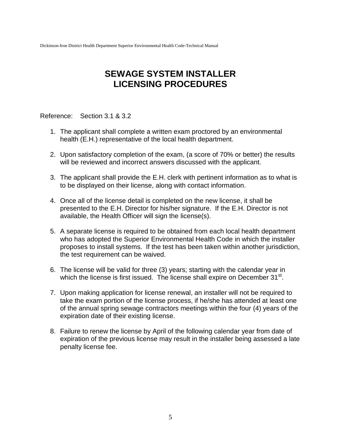## **SEWAGE SYSTEM INSTALLER LICENSING PROCEDURES**

Reference: Section 3.1 & 3.2

- 1. The applicant shall complete a written exam proctored by an environmental health (E.H.) representative of the local health department.
- 2. Upon satisfactory completion of the exam, (a score of 70% or better) the results will be reviewed and incorrect answers discussed with the applicant.
- 3. The applicant shall provide the E.H. clerk with pertinent information as to what is to be displayed on their license, along with contact information.
- 4. Once all of the license detail is completed on the new license, it shall be presented to the E.H. Director for his/her signature. If the E.H. Director is not available, the Health Officer will sign the license(s).
- 5. A separate license is required to be obtained from each local health department who has adopted the Superior Environmental Health Code in which the installer proposes to install systems. If the test has been taken within another jurisdiction, the test requirement can be waived.
- 6. The license will be valid for three (3) years; starting with the calendar year in which the license is first issued. The license shall expire on December 31<sup>st</sup>.
- 7. Upon making application for license renewal, an installer will not be required to take the exam portion of the license process, if he/she has attended at least one of the annual spring sewage contractors meetings within the four (4) years of the expiration date of their existing license.
- 8. Failure to renew the license by April of the following calendar year from date of expiration of the previous license may result in the installer being assessed a late penalty license fee.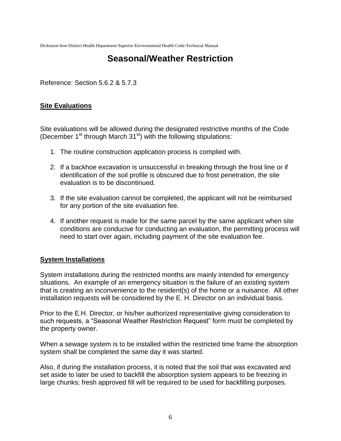## **Seasonal/Weather Restriction**

Reference: Section 5.6.2 & 5.7.3

### **Site Evaluations**

Site evaluations will be allowed during the designated restrictive months of the Code (December 1<sup>st</sup> through March 31<sup>st</sup>) with the following stipulations:

- 1. The routine construction application process is complied with.
- 2. If a backhoe excavation is unsuccessful in breaking through the frost line or if identification of the soil profile is obscured due to frost penetration, the site evaluation is to be discontinued.
- 3. If the site evaluation cannot be completed, the applicant will not be reimbursed for any portion of the site evaluation fee.
- 4. If another request is made for the same parcel by the same applicant when site conditions are conducive for conducting an evaluation, the permitting process will need to start over again, including payment of the site evaluation fee.

### **System Installations**

System installations during the restricted months are mainly intended for emergency situations. An example of an emergency situation is the failure of an existing system that is creating an inconvenience to the resident(s) of the home or a nuisance. All other installation requests will be considered by the E. H. Director on an individual basis.

Prior to the E.H. Director, or his/her authorized representative giving consideration to such requests, a "Seasonal Weather Restriction Request" form must be completed by the property owner.

When a sewage system is to be installed within the restricted time frame the absorption system shall be completed the same day it was started.

Also, if during the installation process, it is noted that the soil that was excavated and set aside to later be used to backfill the absorption system appears to be freezing in large chunks; fresh approved fill will be required to be used for backfilling purposes*.*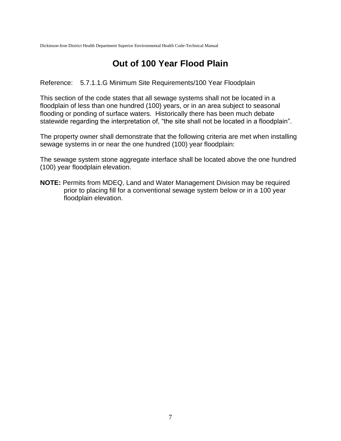## **Out of 100 Year Flood Plain**

Reference: 5.7.1.1.G Minimum Site Requirements/100 Year Floodplain

This section of the code states that all sewage systems shall not be located in a floodplain of less than one hundred (100) years, or in an area subject to seasonal flooding or ponding of surface waters. Historically there has been much debate statewide regarding the interpretation of, "the site shall not be located in a floodplain".

The property owner shall demonstrate that the following criteria are met when installing sewage systems in or near the one hundred (100) year floodplain:

The sewage system stone aggregate interface shall be located above the one hundred (100) year floodplain elevation.

**NOTE:** Permits from MDEQ, Land and Water Management Division may be required prior to placing fill for a conventional sewage system below or in a 100 year floodplain elevation.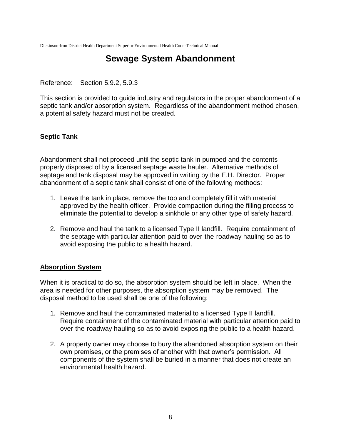## **Sewage System Abandonment**

Reference: Section 5.9.2, 5.9.3

This section is provided to guide industry and regulators in the proper abandonment of a septic tank and/or absorption system. Regardless of the abandonment method chosen, a potential safety hazard must not be created*.*

### **Septic Tank**

Abandonment shall not proceed until the septic tank in pumped and the contents properly disposed of by a licensed septage waste hauler. Alternative methods of septage and tank disposal may be approved in writing by the E.H. Director. Proper abandonment of a septic tank shall consist of one of the following methods:

- 1. Leave the tank in place, remove the top and completely fill it with material approved by the health officer. Provide compaction during the filling process to eliminate the potential to develop a sinkhole or any other type of safety hazard.
- 2. Remove and haul the tank to a licensed Type II landfill. Require containment of the septage with particular attention paid to over-the-roadway hauling so as to avoid exposing the public to a health hazard.

#### **Absorption System**

When it is practical to do so, the absorption system should be left in place. When the area is needed for other purposes, the absorption system may be removed. The disposal method to be used shall be one of the following:

- 1. Remove and haul the contaminated material to a licensed Type II landfill. Require containment of the contaminated material with particular attention paid to over-the-roadway hauling so as to avoid exposing the public to a health hazard.
- 2. A property owner may choose to bury the abandoned absorption system on their own premises, or the premises of another with that owner's permission. All components of the system shall be buried in a manner that does not create an environmental health hazard.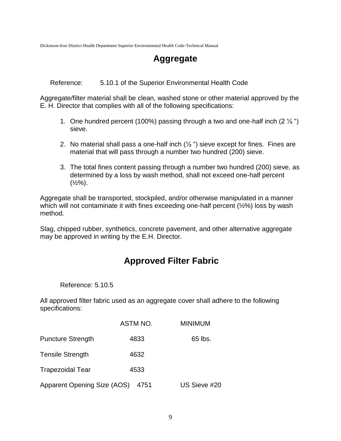## **Aggregate**

Reference: 5.10.1 of the Superior Environmental Health Code

Aggregate/filter material shall be clean, washed stone or other material approved by the E. H. Director that complies with all of the following specifications:

- 1. One hundred percent (100%) passing through a two and one-half inch (2  $\frac{1}{2}$ ") sieve.
- 2. No material shall pass a one-half inch  $(1/2)$  ") sieve except for fines. Fines are material that will pass through a number two hundred (200) sieve.
- 3. The total fines content passing through a number two hundred (200) sieve, as determined by a loss by wash method, shall not exceed one-half percent  $(\frac{1}{2}\%)$ .

Aggregate shall be transported, stockpiled, and/or otherwise manipulated in a manner which will not contaminate it with fines exceeding one-half percent ( $\frac{1}{2}\%$ ) loss by wash method.

Slag, chipped rubber, synthetics, concrete pavement, and other alternative aggregate may be approved in writing by the E.H. Director.

## **Approved Filter Fabric**

Reference: 5.10.5

All approved filter fabric used as an aggregate cover shall adhere to the following specifications:

|                                    | ASTM NO. | <b>MINIMUM</b> |
|------------------------------------|----------|----------------|
| <b>Puncture Strength</b>           | 4833     | 65 lbs.        |
| <b>Tensile Strength</b>            | 4632     |                |
| <b>Trapezoidal Tear</b>            | 4533     |                |
| <b>Apparent Opening Size (AOS)</b> | 4751     | US Sieve #20   |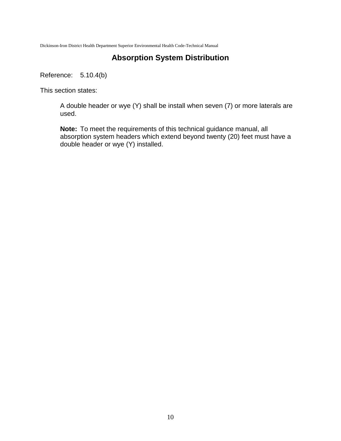### **Absorption System Distribution**

Reference: 5.10.4(b)

This section states:

A double header or wye (Y) shall be install when seven (7) or more laterals are used.

**Note:** To meet the requirements of this technical guidance manual, all absorption system headers which extend beyond twenty (20) feet must have a double header or wye (Y) installed.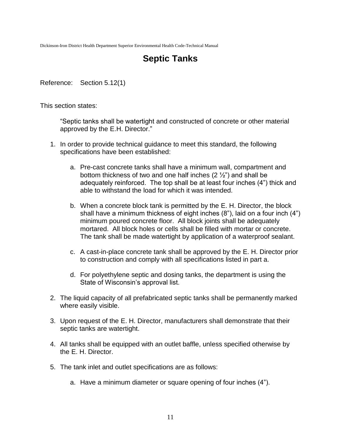## **Septic Tanks**

Reference: Section 5.12(1)

This section states:

"Septic tanks shall be watertight and constructed of concrete or other material approved by the E.H. Director."

- 1. In order to provide technical guidance to meet this standard, the following specifications have been established:
	- a. Pre-cast concrete tanks shall have a minimum wall, compartment and bottom thickness of two and one half inches (2 ½") and shall be adequately reinforced. The top shall be at least four inches (4") thick and able to withstand the load for which it was intended.
	- b. When a concrete block tank is permitted by the E. H. Director, the block shall have a minimum thickness of eight inches (8"), laid on a four inch (4") minimum poured concrete floor. All block joints shall be adequately mortared. All block holes or cells shall be filled with mortar or concrete. The tank shall be made watertight by application of a waterproof sealant.
	- c. A cast-in-place concrete tank shall be approved by the E. H. Director prior to construction and comply with all specifications listed in part a.
	- d. For polyethylene septic and dosing tanks, the department is using the State of Wisconsin's approval list.
- 2. The liquid capacity of all prefabricated septic tanks shall be permanently marked where easily visible.
- 3. Upon request of the E. H. Director, manufacturers shall demonstrate that their septic tanks are watertight.
- 4. All tanks shall be equipped with an outlet baffle, unless specified otherwise by the E. H. Director.
- 5. The tank inlet and outlet specifications are as follows:
	- a. Have a minimum diameter or square opening of four inches (4").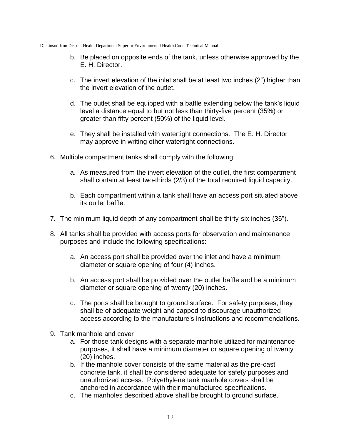- b. Be placed on opposite ends of the tank, unless otherwise approved by the E. H. Director.
- c. The invert elevation of the inlet shall be at least two inches (2") higher than the invert elevation of the outlet.
- d. The outlet shall be equipped with a baffle extending below the tank's liquid level a distance equal to but not less than thirty-five percent (35%) or greater than fifty percent (50%) of the liquid level.
- e. They shall be installed with watertight connections. The E. H. Director may approve in writing other watertight connections.
- 6. Multiple compartment tanks shall comply with the following:
	- a. As measured from the invert elevation of the outlet, the first compartment shall contain at least two-thirds (2/3) of the total required liquid capacity.
	- b. Each compartment within a tank shall have an access port situated above its outlet baffle.
- 7. The minimum liquid depth of any compartment shall be thirty-six inches (36").
- 8. All tanks shall be provided with access ports for observation and maintenance purposes and include the following specifications:
	- a. An access port shall be provided over the inlet and have a minimum diameter or square opening of four (4) inches.
	- b. An access port shall be provided over the outlet baffle and be a minimum diameter or square opening of twenty (20) inches.
	- c. The ports shall be brought to ground surface. For safety purposes, they shall be of adequate weight and capped to discourage unauthorized access according to the manufacture's instructions and recommendations.
- 9. Tank manhole and cover
	- a. For those tank designs with a separate manhole utilized for maintenance purposes, it shall have a minimum diameter or square opening of twenty (20) inches.
	- b. If the manhole cover consists of the same material as the pre-cast concrete tank, it shall be considered adequate for safety purposes and unauthorized access. Polyethylene tank manhole covers shall be anchored in accordance with their manufactured specifications.
	- c. The manholes described above shall be brought to ground surface.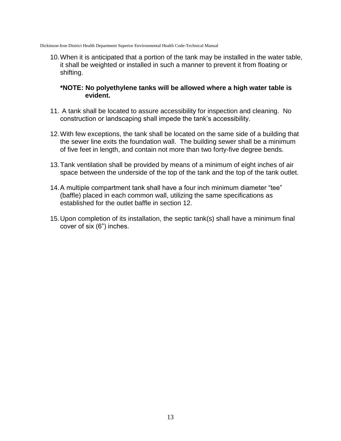10.When it is anticipated that a portion of the tank may be installed in the water table, it shall be weighted or installed in such a manner to prevent it from floating or shifting.

#### **\*NOTE: No polyethylene tanks will be allowed where a high water table is evident.**

- 11. A tank shall be located to assure accessibility for inspection and cleaning. No construction or landscaping shall impede the tank's accessibility.
- 12.With few exceptions, the tank shall be located on the same side of a building that the sewer line exits the foundation wall. The building sewer shall be a minimum of five feet in length, and contain not more than two forty-five degree bends.
- 13.Tank ventilation shall be provided by means of a minimum of eight inches of air space between the underside of the top of the tank and the top of the tank outlet.
- 14.A multiple compartment tank shall have a four inch minimum diameter "tee" (baffle) placed in each common wall, utilizing the same specifications as established for the outlet baffle in section 12.
- 15.Upon completion of its installation, the septic tank(s) shall have a minimum final cover of six (6") inches.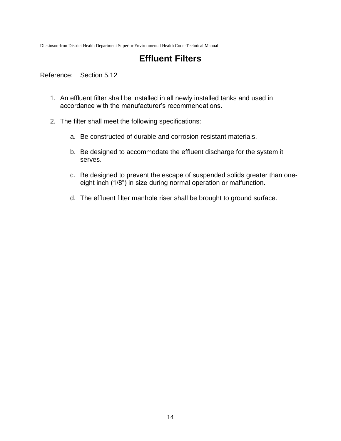## **Effluent Filters**

Reference: Section 5.12

- 1. An effluent filter shall be installed in all newly installed tanks and used in accordance with the manufacturer's recommendations.
- 2. The filter shall meet the following specifications:
	- a. Be constructed of durable and corrosion-resistant materials.
	- b. Be designed to accommodate the effluent discharge for the system it serves.
	- c. Be designed to prevent the escape of suspended solids greater than oneeight inch (1/8") in size during normal operation or malfunction.
	- d. The effluent filter manhole riser shall be brought to ground surface.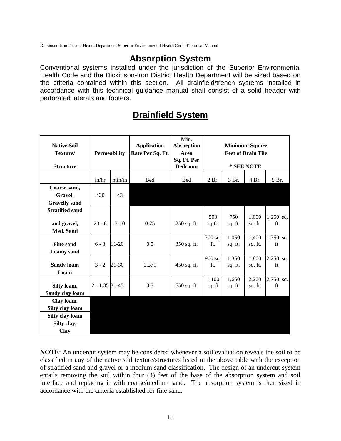### **Absorption System**

Conventional systems installed under the jurisdiction of the Superior Environmental Health Code and the Dickinson-Iron District Health Department will be sized based on the criteria contained within this section. All drainfield/trench systems installed in accordance with this technical guidance manual shall consist of a solid header with perforated laterals and footers.

| <b>Native Soil</b><br>Texture/<br><b>Structure</b>                      | <b>Permeability</b> |           | <b>Application</b><br>Rate Per Sq. Ft. | Min.<br><b>Absorption</b><br>Area<br>Sq. Ft. Per<br><b>Bedroom</b> | <b>Minimum Square</b><br><b>Feet of Drain Tile</b><br>* SEE NOTE |                  |                  |                    |
|-------------------------------------------------------------------------|---------------------|-----------|----------------------------------------|--------------------------------------------------------------------|------------------------------------------------------------------|------------------|------------------|--------------------|
|                                                                         | in/hr               | min/in    | <b>Bed</b>                             | <b>Bed</b>                                                         | 2 Br.                                                            | 3 Br.            | 4 Br.            | 5 Br.              |
| Coarse sand,<br>Gravel,<br><b>Gravelly sand</b>                         | >20                 | $\leq$ 3  |                                        |                                                                    |                                                                  |                  |                  |                    |
| <b>Stratified sand</b><br>and gravel,<br>Med. Sand                      | $20 - 6$            | $3-10$    | 0.75                                   | 250 sq. ft.                                                        | 500<br>sq.ft.                                                    | 750<br>sq. ft.   | 1,000<br>sq. ft. | 1,250 sq.<br>ft.   |
| <b>Fine sand</b><br><b>Loamy</b> sand                                   | $6 - 3$             | $11 - 20$ | 0.5                                    | 350 sq. ft.                                                        | 700 sq.<br>ft.                                                   | 1,050<br>sq. ft. | 1,400<br>sq. ft. | 1,750 sq.<br>ft.   |
| <b>Sandy loam</b><br>Loam                                               | $3 - 2$             | 21-30     | 0.375                                  | 450 sq. ft.                                                        | 900 sq.<br>ft.                                                   | 1,350<br>sq. ft. | 1,800<br>sq. ft. | $2,250$ sq.<br>ft. |
| Silty loam,<br>Sandy clay loam                                          | $2 - 1.35$ 31-45    |           | 0.3                                    | 550 sq. ft.                                                        | 1,100<br>sq. ft                                                  | 1,650<br>sq. ft. | 2,200<br>sq. ft. | 2,750 sq.<br>ft.   |
| Clay loam,<br>Silty clay loam<br>Silty clay loam<br>Silty clay,<br>Clay |                     |           |                                        |                                                                    |                                                                  |                  |                  |                    |

## **Drainfield System**

**NOTE**: An undercut system may be considered whenever a soil evaluation reveals the soil to be classified in any of the native soil texture/structures listed in the above table with the exception of stratified sand and gravel or a medium sand classification. The design of an undercut system entails removing the soil within four (4) feet of the base of the absorption system and soil interface and replacing it with coarse/medium sand. The absorption system is then sized in accordance with the criteria established for fine sand.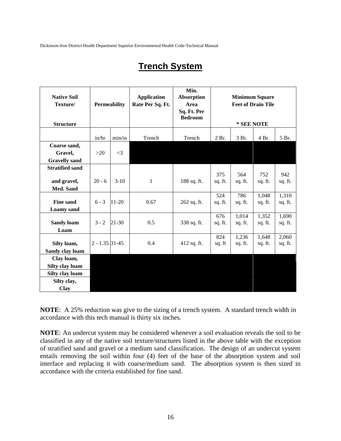## **Trench System**

| <b>Native Soil</b><br>Texture/ | <b>Permeability</b> |           | <b>Application</b><br>Rate Per Sq. Ft. | Min.<br><b>Absorption</b><br>Area<br>Sq. Ft. Per | <b>Minimum Square</b><br><b>Feet of Drain Tile</b> |            |         |         |
|--------------------------------|---------------------|-----------|----------------------------------------|--------------------------------------------------|----------------------------------------------------|------------|---------|---------|
| <b>Structure</b>               |                     |           |                                        | <b>Bedroom</b>                                   |                                                    | * SEE NOTE |         |         |
|                                | in/hr               | min/in    | Trench                                 | Trench                                           | 2 Br.                                              | 3 Br.      | 4 Br.   | 5 Br.   |
| Coarse sand,                   |                     |           |                                        |                                                  |                                                    |            |         |         |
| Gravel,                        | >20                 | $\leq$ 3  |                                        |                                                  |                                                    |            |         |         |
| <b>Gravelly sand</b>           |                     |           |                                        |                                                  |                                                    |            |         |         |
| <b>Stratified sand</b>         |                     |           |                                        |                                                  |                                                    |            |         |         |
|                                |                     |           |                                        |                                                  | 375                                                | 564        | 752     | 942     |
| and gravel,                    | $20 - 6$            | $3-10$    | 1                                      | 188 sq. ft.                                      | sq. ft.                                            | sq. ft.    | sq. ft. | sq. ft. |
| Med. Sand                      |                     |           |                                        |                                                  | 524                                                | 786        | 1,048   | 1,310   |
| <b>Fine sand</b>               | $6 - 3$             | 11-20     | 0.67                                   | 262 sq. ft.                                      | sq. ft.                                            | sq. ft.    | sq. ft. | sq. ft. |
| <b>Loamy</b> sand              |                     |           |                                        |                                                  |                                                    |            |         |         |
|                                |                     |           |                                        |                                                  | 676                                                | 1,014      | 1,352   | 1,690   |
| <b>Sandy loam</b>              | $3 - 2$             | $21 - 30$ | 0.5                                    | 338 sq. ft.                                      | sq. ft.                                            | sq. ft.    | sq. ft. | sq. ft. |
| Loam                           |                     |           |                                        |                                                  |                                                    |            |         |         |
|                                |                     |           |                                        |                                                  | 824                                                | 1,236      | 1,648   | 2,060   |
| Silty loam,                    | $2 - 1.35$ 31-45    |           | 0.4                                    | 412 sq. ft.                                      | sq. ft                                             | sq. ft.    | sq. ft. | sq. ft. |
| Sandy clay loam                |                     |           |                                        |                                                  |                                                    |            |         |         |
| Clay loam,                     |                     |           |                                        |                                                  |                                                    |            |         |         |
| Silty clay loam                |                     |           |                                        |                                                  |                                                    |            |         |         |
| Silty clay loam                |                     |           |                                        |                                                  |                                                    |            |         |         |
| Silty clay,                    |                     |           |                                        |                                                  |                                                    |            |         |         |
| <b>Clay</b>                    |                     |           |                                        |                                                  |                                                    |            |         |         |

**NOTE**: A 25% reduction was give to the sizing of a trench system. A standard trench width in accordance with this tech manual is thirty six inches.

**NOTE**: An undercut system may be considered whenever a soil evaluation reveals the soil to be classified in any of the native soil texture/structures listed in the above table with the exception of stratified sand and gravel or a medium sand classification. The design of an undercut system entails removing the soil within four (4) feet of the base of the absorption system and soil interface and replacing it with coarse/medium sand. The absorption system is then sized in accordance with the criteria established for fine sand.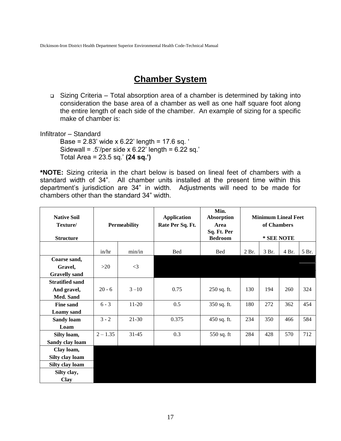## **Chamber System**

 Sizing Criteria – Total absorption area of a chamber is determined by taking into consideration the base area of a chamber as well as one half square foot along the entire length of each side of the chamber. An example of sizing for a specific make of chamber is:

Infiltrator – Standard

Base =  $2.83'$  wide x  $6.22'$  length =  $17.6$  sq. ' Sidewall =  $.5$ '/per side x 6.22' length = 6.22 sq.' Total Area = 23.5 sq.' **(24 sq.')**

**\*NOTE:** Sizing criteria in the chart below is based on lineal feet of chambers with a standard width of 34". All chamber units installed at the present time within this department's jurisdiction are 34" in width. Adjustments will need to be made for chambers other than the standard 34" width.

| <b>Native Soil</b>     |            |                     | <b>Application</b> | Min.<br><b>Absorption</b> | <b>Minimum Lineal Feet</b> |             |       |       |
|------------------------|------------|---------------------|--------------------|---------------------------|----------------------------|-------------|-------|-------|
| Texture/               |            | <b>Permeability</b> | Rate Per Sq. Ft.   | Area<br>Sq. Ft. Per       |                            | of Chambers |       |       |
| <b>Structure</b>       |            |                     |                    | <b>Bedroom</b>            | * SEE NOTE                 |             |       |       |
|                        | in/hr      | min/in              | <b>Bed</b>         | <b>Bed</b>                | 2 Br.<br>3 Br.             |             | 4 Br. | 5 Br. |
| Coarse sand,           |            |                     |                    |                           |                            |             |       |       |
| Gravel,                | >20        | $\leq$ 3            |                    |                           |                            |             |       |       |
| <b>Gravelly sand</b>   |            |                     |                    |                           |                            |             |       |       |
| <b>Stratified sand</b> |            |                     |                    |                           |                            |             |       |       |
| And gravel,            | $20 - 6$   | $3 - 10$            | 0.75               | 250 sq. ft.               | 130                        | 194         | 260   | 324   |
| Med. Sand              |            |                     |                    |                           |                            |             |       |       |
| <b>Fine sand</b>       | $6 - 3$    | $11-20$             | 0.5                | 350 sq. ft.               | 180                        | 272         | 362   | 454   |
| <b>Loamy</b> sand      |            |                     |                    |                           |                            |             |       |       |
| <b>Sandy loam</b>      | $3 - 2$    | 21-30               | 0.375              | 450 sq. ft.               | 234                        | 350         | 466   | 584   |
| Loam                   |            |                     |                    |                           |                            |             |       |       |
| Silty loam,            | $2 - 1.35$ | $31 - 45$           | 0.3                | 550 sq. ft                | 284                        | 428         | 570   | 712   |
| Sandy clay loam        |            |                     |                    |                           |                            |             |       |       |
| Clay loam,             |            |                     |                    |                           |                            |             |       |       |
| Silty clay loam        |            |                     |                    |                           |                            |             |       |       |
| Silty clay loam        |            |                     |                    |                           |                            |             |       |       |
| Silty clay,            |            |                     |                    |                           |                            |             |       |       |
| Clay                   |            |                     |                    |                           |                            |             |       |       |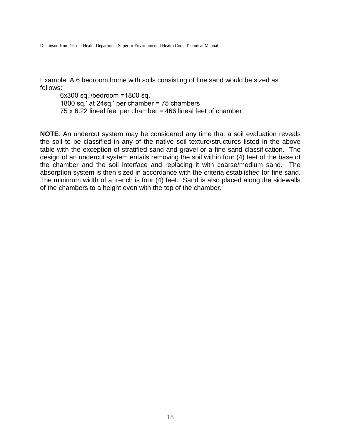Example: A 6 bedroom home with soils consisting of fine sand would be sized as follows:

6x300 sq.'/bedroom =1800 sq.' 1800 sq.' at 24sq.' per chamber = 75 chambers  $75 \times 6.22$  lineal feet per chamber = 466 lineal feet of chamber

**NOTE**: An undercut system may be considered any time that a soil evaluation reveals the soil to be classified in any of the native soil texture/structures listed in the above table with the exception of stratified sand and gravel or a fine sand classification. The design of an undercut system entails removing the soil within four (4) feet of the base of the chamber and the soil interface and replacing it with coarse/medium sand. The absorption system is then sized in accordance with the criteria established for fine sand. The minimum width of a trench is four (4) feet. Sand is also placed along the sidewalls of the chambers to a height even with the top of the chamber.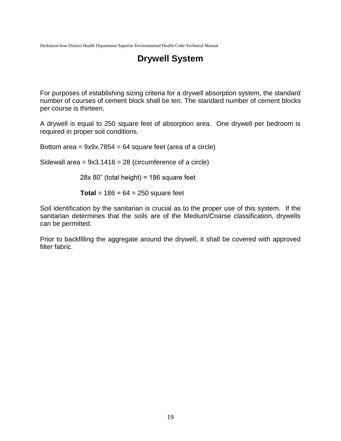## **Drywell System**

For purposes of establishing sizing criteria for a drywell absorption system, the standard number of courses of cement block shall be ten. The standard number of cement blocks per course is thirteen.

A drywell is equal to 250 square feet of absorption area. One drywell per bedroom is required in proper soil conditions.

Bottom area =  $9x9x.7854 = 64$  square feet (area of a circle)

Sidewall area =  $9x3.1416 = 28$  (circumference of a circle)

 $28x 80$ " (total height) = 186 square feet

**Total** =  $186 + 64 = 250$  square feet

Soil identification by the sanitarian is crucial as to the proper use of this system. If the sanitarian determines that the soils are of the Medium/Coarse classification, drywells can be permitted.

Prior to backfilling the aggregate around the drywell, it shall be covered with approved filter fabric.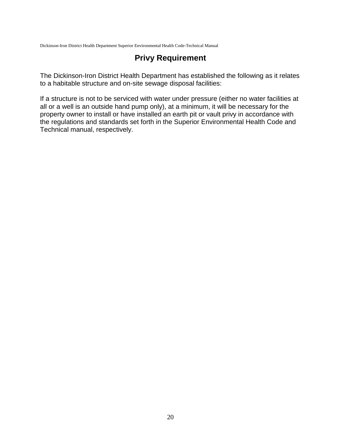### **Privy Requirement**

The Dickinson-Iron District Health Department has established the following as it relates to a habitable structure and on-site sewage disposal facilities:

If a structure is not to be serviced with water under pressure (either no water facilities at all or a well is an outside hand pump only), at a minimum, it will be necessary for the property owner to install or have installed an earth pit or vault privy in accordance with the regulations and standards set forth in the Superior Environmental Health Code and Technical manual, respectively.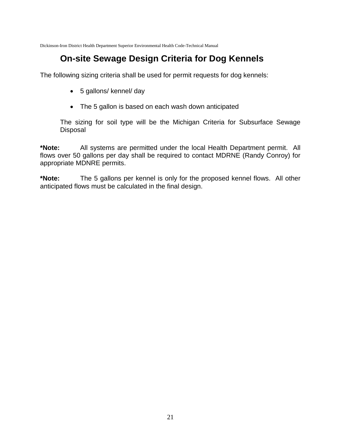## **On-site Sewage Design Criteria for Dog Kennels**

The following sizing criteria shall be used for permit requests for dog kennels:

- 5 gallons/ kennel/ day
- The 5 gallon is based on each wash down anticipated

The sizing for soil type will be the Michigan Criteria for Subsurface Sewage **Disposal** 

**\*Note:** All systems are permitted under the local Health Department permit. All flows over 50 gallons per day shall be required to contact MDRNE (Randy Conroy) for appropriate MDNRE permits.

**\*Note:** The 5 gallons per kennel is only for the proposed kennel flows. All other anticipated flows must be calculated in the final design.